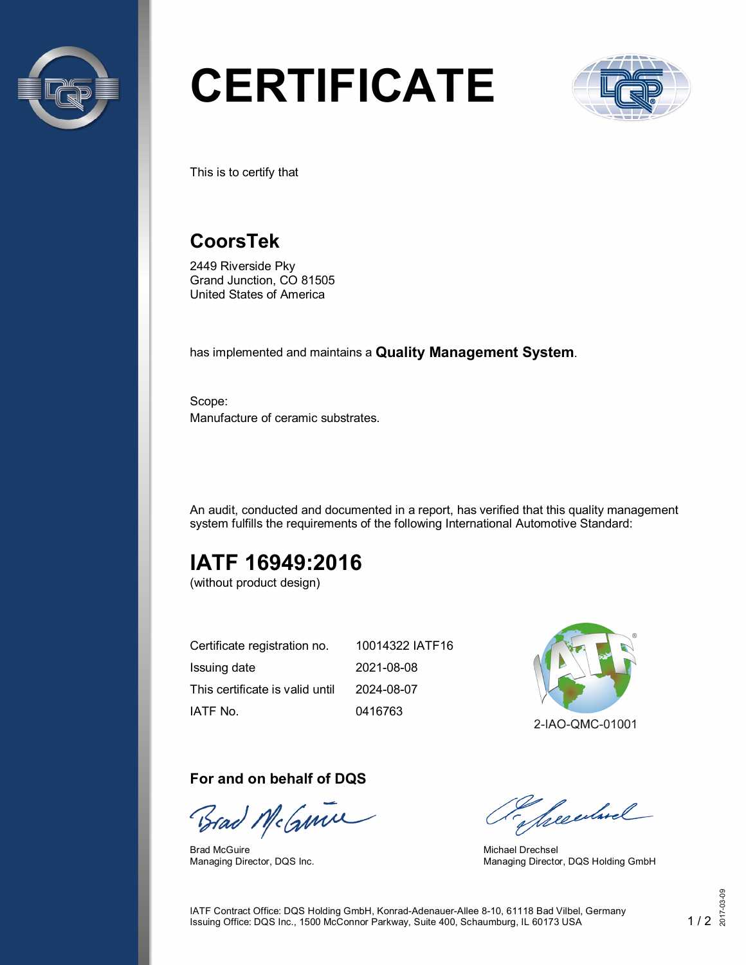

# **CERTIFICATE**



This is to certify that

## **CoorsTek**

2449 Riverside Pky Grand Junction, CO 81505 United States of America

has implemented and maintains a **Quality Management System**.

Scope: Manufacture of ceramic substrates.

An audit, conducted and documented in a report, has verified that this quality management system fulfills the requirements of the following International Automotive Standard:

# **IATF 16949:2016**

(without product design)

| Certificate registration no.    | 10014322 IATF16 |
|---------------------------------|-----------------|
| Issuing date                    | 2021-08-08      |
| This certificate is valid until | 2024-08-07      |
| IATF No.                        | 0416763         |



#### **For and on behalf of DQS**

Brad NeGmm

Brad McGuire Managing Director, DQS Inc.

presentand

Michael Drechsel Managing Director, DQS Holding GmbH

IATF Contract Office: DQS Holding GmbH, Konrad-Adenauer-Allee 8-10, 61118 Bad Vilbel, Germany Issuing Office: DQS Inc., 1500 McConnor Parkway, Suite 400, Schaumburg, IL 60173 USA